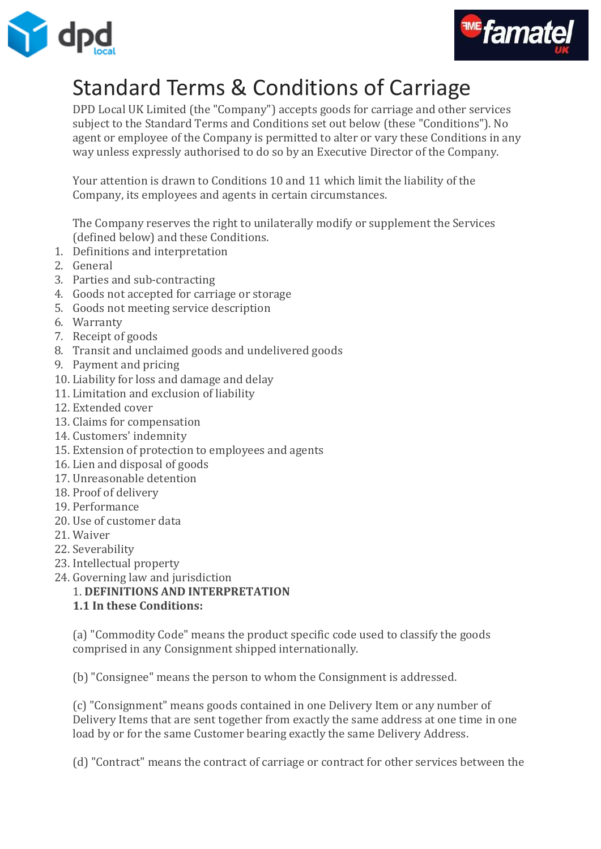



# Standard Terms & Conditions of Carriage

DPD Local UK Limited (the "Company") accepts goods for carriage and other services subject to the Standard Terms and Conditions set out below (these "Conditions"). No agent or employee of the Company is permitted to alter or vary these Conditions in any way unless expressly authorised to do so by an Executive Director of the Company.

Your attention is drawn to Conditions 10 and 11 which limit the liability of the Company, its employees and agents in certain circumstances.

The Company reserves the right to unilaterally modify or supplement the Services (defined below) and these Conditions.

- 1. Definitions and interpretation
- 2. General
- 3. Parties and sub-contracting
- 4. Goods not accepted for carriage or storage
- 5. Goods not meeting service description
- 6. Warranty
- 7. Receipt of goods
- 8. Transit and unclaimed goods and undelivered goods
- 9. Payment and pricing
- 10. Liability for loss and damage and delay
- 11. Limitation and exclusion of liability
- 12. Extended cover
- 13. Claims for compensation
- 14. Customers' indemnity
- 15. Extension of protection to employees and agents
- 16. Lien and disposal of goods
- 17. Unreasonable detention
- 18. Proof of delivery
- 19. Performance
- 20. Use of customer data
- 21. Waiver
- 22. Severability
- 23. Intellectual property
- 24. Governing law and jurisdiction
	- 1. **DEFINITIONS AND INTERPRETATION**
		- **1.1 In these Conditions:**

(a) "Commodity Code" means the product specific code used to classify the goods comprised in any Consignment shipped internationally.

(b) "Consignee" means the person to whom the Consignment is addressed.

(c) "Consignment" means goods contained in one Delivery Item or any number of Delivery Items that are sent together from exactly the same address at one time in one load by or for the same Customer bearing exactly the same Delivery Address.

(d) "Contract" means the contract of carriage or contract for other services between the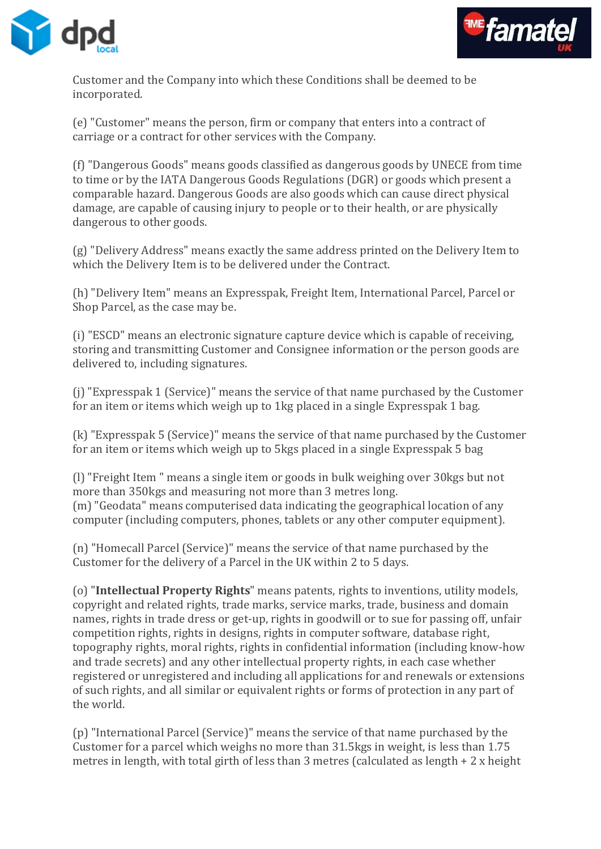



Customer and the Company into which these Conditions shall be deemed to be incorporated.

(e) "Customer" means the person, firm or company that enters into a contract of carriage or a contract for other services with the Company.

(f) "Dangerous Goods" means goods classified as dangerous goods by UNECE from time to time or by the IATA Dangerous Goods Regulations (DGR) or goods which present a comparable hazard. Dangerous Goods are also goods which can cause direct physical damage, are capable of causing injury to people or to their health, or are physically dangerous to other goods.

(g) "Delivery Address" means exactly the same address printed on the Delivery Item to which the Delivery Item is to be delivered under the Contract.

(h) "Delivery Item" means an Expresspak, Freight Item, International Parcel, Parcel or Shop Parcel, as the case may be.

(i) "ESCD" means an electronic signature capture device which is capable of receiving, storing and transmitting Customer and Consignee information or the person goods are delivered to, including signatures.

(j) "Expresspak 1 (Service)" means the service of that name purchased by the Customer for an item or items which weigh up to 1kg placed in a single Expresspak 1 bag.

(k) "Expresspak 5 (Service)" means the service of that name purchased by the Customer for an item or items which weigh up to 5kgs placed in a single Expresspak 5 bag

(l) "Freight Item " means a single item or goods in bulk weighing over 30kgs but not more than 350kgs and measuring not more than 3 metres long. (m) "Geodata" means computerised data indicating the geographical location of any computer (including computers, phones, tablets or any other computer equipment).

(n) "Homecall Parcel (Service)" means the service of that name purchased by the Customer for the delivery of a Parcel in the UK within 2 to 5 days.

(o) "**Intellectual Property Rights**" means patents, rights to inventions, utility models, copyright and related rights, trade marks, service marks, trade, business and domain names, rights in trade dress or get-up, rights in goodwill or to sue for passing off, unfair competition rights, rights in designs, rights in computer software, database right, topography rights, moral rights, rights in confidential information (including know-how and trade secrets) and any other intellectual property rights, in each case whether registered or unregistered and including all applications for and renewals or extensions of such rights, and all similar or equivalent rights or forms of protection in any part of the world.

(p) "International Parcel (Service)" means the service of that name purchased by the Customer for a parcel which weighs no more than 31.5kgs in weight, is less than 1.75 metres in length, with total girth of less than 3 metres (calculated as length + 2 x height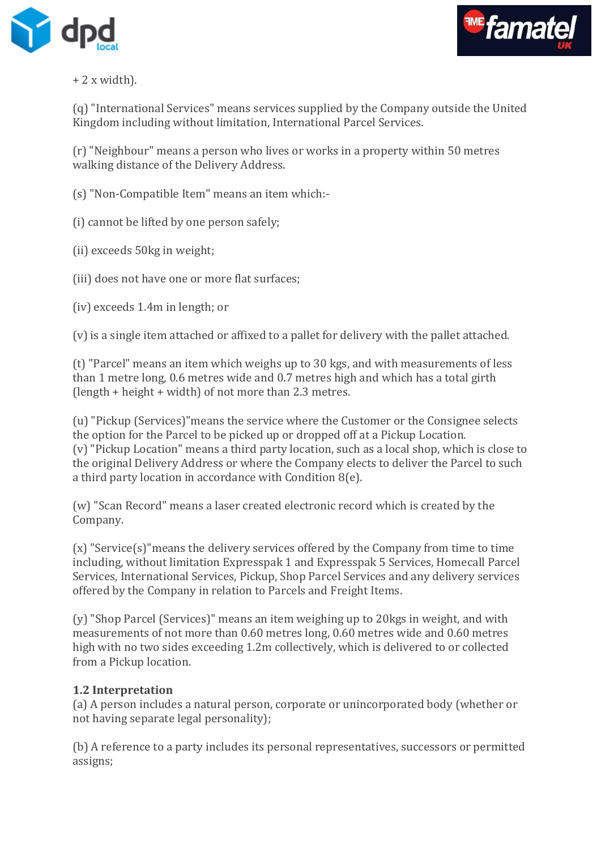



## + 2 x width).

(q) "International Services" means services supplied by the Company outside the United Kingdom including without limitation, International Parcel Services.

(r) "Neighbour" means a person who lives or works in a property within 50 metres walking distance of the Delivery Address.

(s) "Non-Compatible Item" means an item which:-

(i) cannot be lifted by one person safely;

(ii) exceeds 50kg in weight;

(iii) does not have one or more flat surfaces;

(iv) exceeds 1.4m in length; or

(v) is a single item attached or affixed to a pallet for delivery with the pallet attached.

(t) "Parcel" means an item which weighs up to 30 kgs, and with measurements of less than 1 metre long, 0.6 metres wide and 0.7 metres high and which has a total girth (length + height + width) of not more than 2.3 metres.

(u) "Pickup (Services)"means the service where the Customer or the Consignee selects the option for the Parcel to be picked up or dropped off at a Pickup Location. (v) "Pickup Location" means a third party location, such as a local shop, which is close to the original Delivery Address or where the Company elects to deliver the Parcel to such a third party location in accordance with Condition 8(e).

(w) "Scan Record" means a laser created electronic record which is created by the Company.

(x) "Service(s)"means the delivery services offered by the Company from time to time including, without limitation Expresspak 1 and Expresspak 5 Services, Homecall Parcel Services, International Services, Pickup, Shop Parcel Services and any delivery services offered by the Company in relation to Parcels and Freight Items.

(y) "Shop Parcel (Services)" means an item weighing up to 20kgs in weight, and with measurements of not more than 0.60 metres long, 0.60 metres wide and 0.60 metres high with no two sides exceeding 1.2m collectively, which is delivered to or collected from a Pickup location.

#### **1.2 Interpretation**

(a) A person includes a natural person, corporate or unincorporated body (whether or not having separate legal personality);

(b) A reference to a party includes its personal representatives, successors or permitted assigns;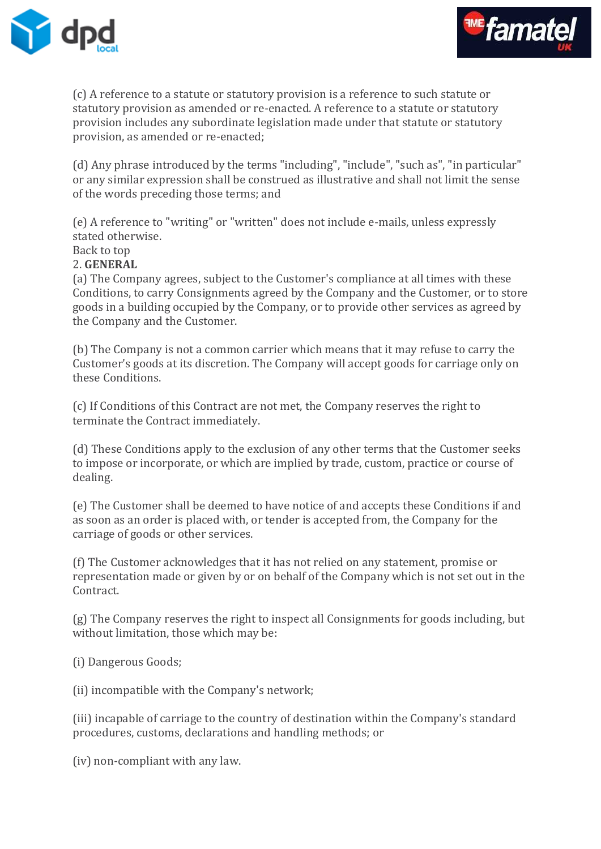



(c) A reference to a statute or statutory provision is a reference to such statute or statutory provision as amended or re-enacted. A reference to a statute or statutory provision includes any subordinate legislation made under that statute or statutory provision, as amended or re-enacted;

(d) Any phrase introduced by the terms "including", "include", "such as", "in particular" or any similar expression shall be construed as illustrative and shall not limit the sense of the words preceding those terms; and

(e) A reference to "writing" or "written" does not include e-mails, unless expressly stated otherwise.

Back to top

#### 2. **GENERAL**

(a) The Company agrees, subject to the Customer's compliance at all times with these Conditions, to carry Consignments agreed by the Company and the Customer, or to store goods in a building occupied by the Company, or to provide other services as agreed by the Company and the Customer.

(b) The Company is not a common carrier which means that it may refuse to carry the Customer's goods at its discretion. The Company will accept goods for carriage only on these Conditions.

(c) If Conditions of this Contract are not met, the Company reserves the right to terminate the Contract immediately.

(d) These Conditions apply to the exclusion of any other terms that the Customer seeks to impose or incorporate, or which are implied by trade, custom, practice or course of dealing.

(e) The Customer shall be deemed to have notice of and accepts these Conditions if and as soon as an order is placed with, or tender is accepted from, the Company for the carriage of goods or other services.

(f) The Customer acknowledges that it has not relied on any statement, promise or representation made or given by or on behalf of the Company which is not set out in the Contract.

(g) The Company reserves the right to inspect all Consignments for goods including, but without limitation, those which may be:

(i) Dangerous Goods;

(ii) incompatible with the Company's network;

(iii) incapable of carriage to the country of destination within the Company's standard procedures, customs, declarations and handling methods; or

(iv) non-compliant with any law.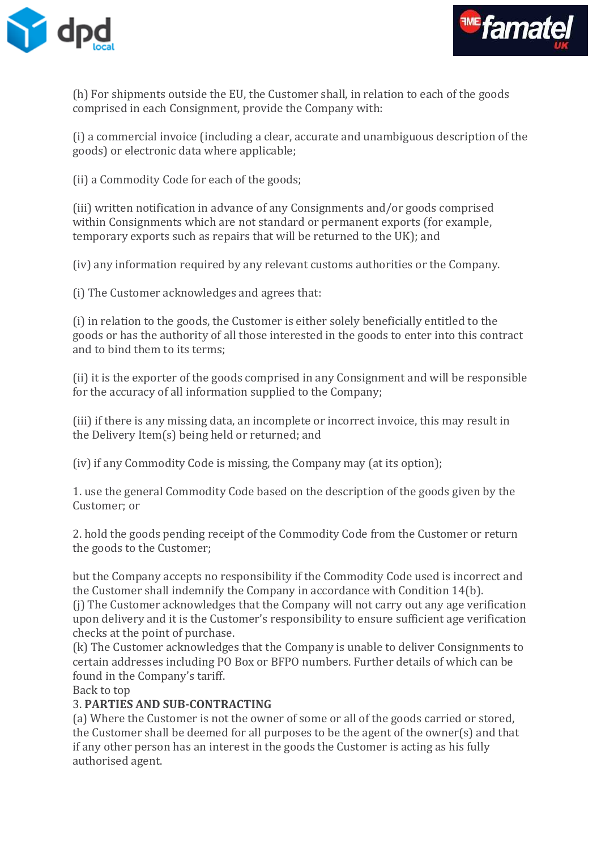



(h) For shipments outside the EU, the Customer shall, in relation to each of the goods comprised in each Consignment, provide the Company with:

(i) a commercial invoice (including a clear, accurate and unambiguous description of the goods) or electronic data where applicable;

(ii) a Commodity Code for each of the goods;

(iii) written notification in advance of any Consignments and/or goods comprised within Consignments which are not standard or permanent exports (for example, temporary exports such as repairs that will be returned to the UK); and

(iv) any information required by any relevant customs authorities or the Company.

(i) The Customer acknowledges and agrees that:

(i) in relation to the goods, the Customer is either solely beneficially entitled to the goods or has the authority of all those interested in the goods to enter into this contract and to bind them to its terms;

(ii) it is the exporter of the goods comprised in any Consignment and will be responsible for the accuracy of all information supplied to the Company;

(iii) if there is any missing data, an incomplete or incorrect invoice, this may result in the Delivery Item(s) being held or returned; and

(iv) if any Commodity Code is missing, the Company may (at its option);

1. use the general Commodity Code based on the description of the goods given by the Customer; or

2. hold the goods pending receipt of the Commodity Code from the Customer or return the goods to the Customer;

but the Company accepts no responsibility if the Commodity Code used is incorrect and the Customer shall indemnify the Company in accordance with Condition 14(b).

(j) The Customer acknowledges that the Company will not carry out any age verification upon delivery and it is the Customer's responsibility to ensure sufficient age verification checks at the point of purchase.

(k) The Customer acknowledges that the Company is unable to deliver Consignments to certain addresses including PO Box or BFPO numbers. Further details of which can be found in the Company's tariff.

Back to top

# 3. **PARTIES AND SUB-CONTRACTING**

(a) Where the Customer is not the owner of some or all of the goods carried or stored, the Customer shall be deemed for all purposes to be the agent of the owner(s) and that if any other person has an interest in the goods the Customer is acting as his fully authorised agent.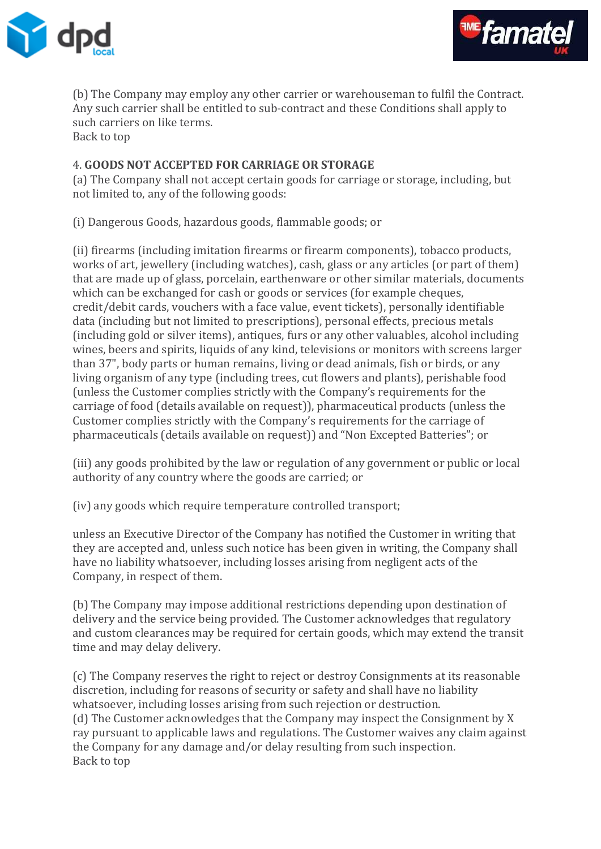



(b) The Company may employ any other carrier or warehouseman to fulfil the Contract. Any such carrier shall be entitled to sub-contract and these Conditions shall apply to such carriers on like terms. Back to top

#### 4. **GOODS NOT ACCEPTED FOR CARRIAGE OR STORAGE**

(a) The Company shall not accept certain goods for carriage or storage, including, but not limited to, any of the following goods:

(i) Dangerous Goods, hazardous goods, flammable goods; or

(ii) firearms (including imitation firearms or firearm components), tobacco products, works of art, jewellery (including watches), cash, glass or any articles (or part of them) that are made up of glass, porcelain, earthenware or other similar materials, documents which can be exchanged for cash or goods or services (for example cheques, credit/debit cards, vouchers with a face value, event tickets), personally identifiable data (including but not limited to prescriptions), personal effects, precious metals (including gold or silver items), antiques, furs or any other valuables, alcohol including wines, beers and spirits, liquids of any kind, televisions or monitors with screens larger than 37", body parts or human remains, living or dead animals, fish or birds, or any living organism of any type (including trees, cut flowers and plants), perishable food (unless the Customer complies strictly with the Company's requirements for the carriage of food (details available on request)), pharmaceutical products (unless the Customer complies strictly with the Company's requirements for the carriage of pharmaceuticals (details available on request)) and "Non Excepted Batteries"; or

(iii) any goods prohibited by the law or regulation of any government or public or local authority of any country where the goods are carried; or

(iv) any goods which require temperature controlled transport;

unless an Executive Director of the Company has notified the Customer in writing that they are accepted and, unless such notice has been given in writing, the Company shall have no liability whatsoever, including losses arising from negligent acts of the Company, in respect of them.

(b) The Company may impose additional restrictions depending upon destination of delivery and the service being provided. The Customer acknowledges that regulatory and custom clearances may be required for certain goods, which may extend the transit time and may delay delivery.

(c) The Company reserves the right to reject or destroy Consignments at its reasonable discretion, including for reasons of security or safety and shall have no liability whatsoever, including losses arising from such rejection or destruction. (d) The Customer acknowledges that the Company may inspect the Consignment by X ray pursuant to applicable laws and regulations. The Customer waives any claim against the Company for any damage and/or delay resulting from such inspection. Back to top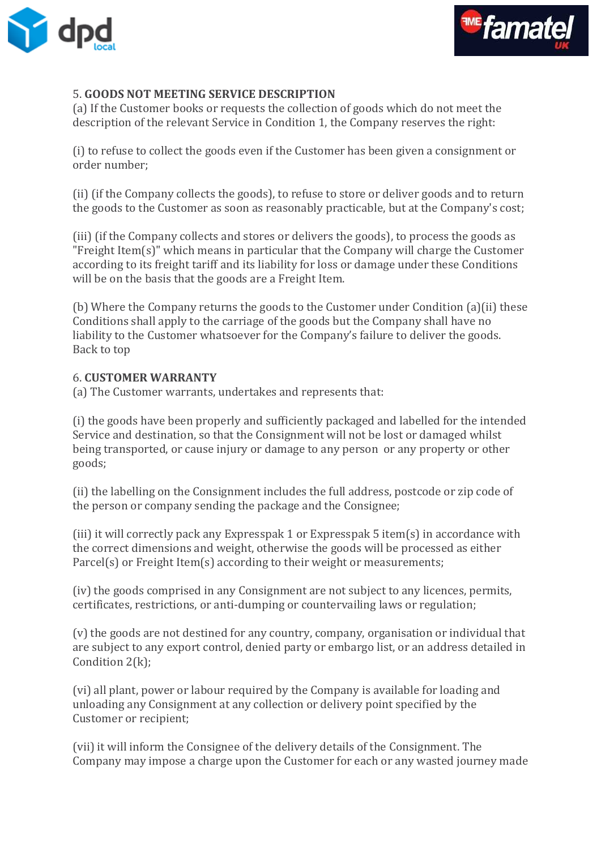



## 5. **GOODS NOT MEETING SERVICE DESCRIPTION**

(a) If the Customer books or requests the collection of goods which do not meet the description of the relevant Service in Condition 1, the Company reserves the right:

(i) to refuse to collect the goods even if the Customer has been given a consignment or order number;

(ii) (if the Company collects the goods), to refuse to store or deliver goods and to return the goods to the Customer as soon as reasonably practicable, but at the Company's cost;

(iii) (if the Company collects and stores or delivers the goods), to process the goods as "Freight Item(s)" which means in particular that the Company will charge the Customer according to its freight tariff and its liability for loss or damage under these Conditions will be on the basis that the goods are a Freight Item.

(b) Where the Company returns the goods to the Customer under Condition (a)(ii) these Conditions shall apply to the carriage of the goods but the Company shall have no liability to the Customer whatsoever for the Company's failure to deliver the goods. Back to top

#### 6. **CUSTOMER WARRANTY**

(a) The Customer warrants, undertakes and represents that:

(i) the goods have been properly and sufficiently packaged and labelled for the intended Service and destination, so that the Consignment will not be lost or damaged whilst being transported, or cause injury or damage to any person or any property or other goods;

(ii) the labelling on the Consignment includes the full address, postcode or zip code of the person or company sending the package and the Consignee;

(iii) it will correctly pack any Expresspak 1 or Expresspak 5 item(s) in accordance with the correct dimensions and weight, otherwise the goods will be processed as either Parcel(s) or Freight Item(s) according to their weight or measurements;

(iv) the goods comprised in any Consignment are not subject to any licences, permits, certificates, restrictions, or anti-dumping or countervailing laws or regulation;

(v) the goods are not destined for any country, company, organisation or individual that are subject to any export control, denied party or embargo list, or an address detailed in Condition 2(k);

(vi) all plant, power or labour required by the Company is available for loading and unloading any Consignment at any collection or delivery point specified by the Customer or recipient;

(vii) it will inform the Consignee of the delivery details of the Consignment. The Company may impose a charge upon the Customer for each or any wasted journey made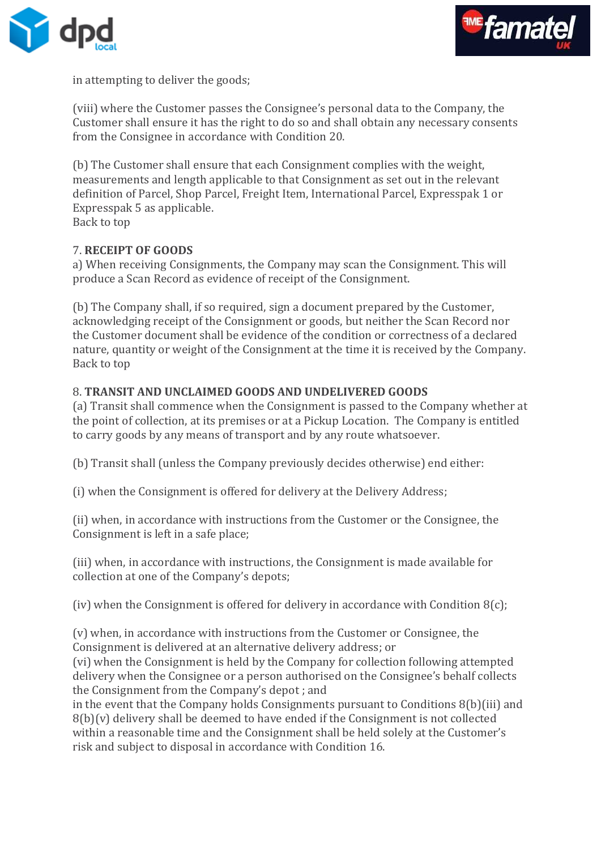



in attempting to deliver the goods;

(viii) where the Customer passes the Consignee's personal data to the Company, the Customer shall ensure it has the right to do so and shall obtain any necessary consents from the Consignee in accordance with Condition 20.

(b) The Customer shall ensure that each Consignment complies with the weight, measurements and length applicable to that Consignment as set out in the relevant definition of Parcel, Shop Parcel, Freight Item, International Parcel, Expresspak 1 or Expresspak 5 as applicable.

Back to top

## 7. **RECEIPT OF GOODS**

a) When receiving Consignments, the Company may scan the Consignment. This will produce a Scan Record as evidence of receipt of the Consignment.

(b) The Company shall, if so required, sign a document prepared by the Customer, acknowledging receipt of the Consignment or goods, but neither the Scan Record nor the Customer document shall be evidence of the condition or correctness of a declared nature, quantity or weight of the Consignment at the time it is received by the Company. Back to top

#### 8. **TRANSIT AND UNCLAIMED GOODS AND UNDELIVERED GOODS**

(a) Transit shall commence when the Consignment is passed to the Company whether at the point of collection, at its premises or at a Pickup Location. The Company is entitled to carry goods by any means of transport and by any route whatsoever.

(b) Transit shall (unless the Company previously decides otherwise) end either:

(i) when the Consignment is offered for delivery at the Delivery Address;

(ii) when, in accordance with instructions from the Customer or the Consignee, the Consignment is left in a safe place;

(iii) when, in accordance with instructions, the Consignment is made available for collection at one of the Company's depots;

(iv) when the Consignment is offered for delivery in accordance with Condition  $8(c)$ ;

(v) when, in accordance with instructions from the Customer or Consignee, the Consignment is delivered at an alternative delivery address; or

(vi) when the Consignment is held by the Company for collection following attempted delivery when the Consignee or a person authorised on the Consignee's behalf collects the Consignment from the Company's depot ; and

in the event that the Company holds Consignments pursuant to Conditions 8(b)(iii) and  $8(b)(v)$  delivery shall be deemed to have ended if the Consignment is not collected within a reasonable time and the Consignment shall be held solely at the Customer's risk and subject to disposal in accordance with Condition 16.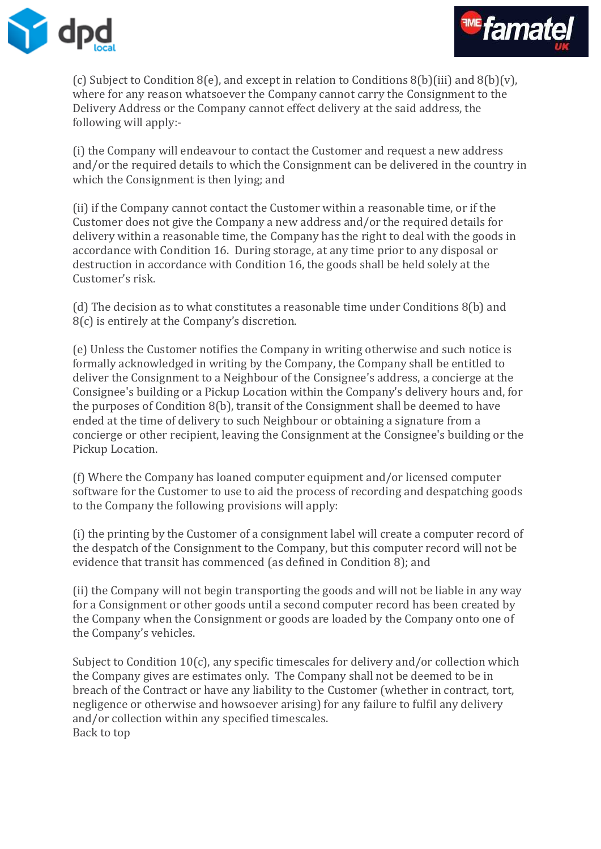



(c) Subject to Condition 8(e), and except in relation to Conditions 8(b)(iii) and 8(b)(v), where for any reason whatsoever the Company cannot carry the Consignment to the Delivery Address or the Company cannot effect delivery at the said address, the following will apply:-

(i) the Company will endeavour to contact the Customer and request a new address and/or the required details to which the Consignment can be delivered in the country in which the Consignment is then lying; and

(ii) if the Company cannot contact the Customer within a reasonable time, or if the Customer does not give the Company a new address and/or the required details for delivery within a reasonable time, the Company has the right to deal with the goods in accordance with Condition 16. During storage, at any time prior to any disposal or destruction in accordance with Condition 16, the goods shall be held solely at the Customer's risk.

(d) The decision as to what constitutes a reasonable time under Conditions 8(b) and 8(c) is entirely at the Company's discretion.

(e) Unless the Customer notifies the Company in writing otherwise and such notice is formally acknowledged in writing by the Company, the Company shall be entitled to deliver the Consignment to a Neighbour of the Consignee's address, a concierge at the Consignee's building or a Pickup Location within the Company's delivery hours and, for the purposes of Condition 8(b), transit of the Consignment shall be deemed to have ended at the time of delivery to such Neighbour or obtaining a signature from a concierge or other recipient, leaving the Consignment at the Consignee's building or the Pickup Location.

(f) Where the Company has loaned computer equipment and/or licensed computer software for the Customer to use to aid the process of recording and despatching goods to the Company the following provisions will apply:

(i) the printing by the Customer of a consignment label will create a computer record of the despatch of the Consignment to the Company, but this computer record will not be evidence that transit has commenced (as defined in Condition 8); and

(ii) the Company will not begin transporting the goods and will not be liable in any way for a Consignment or other goods until a second computer record has been created by the Company when the Consignment or goods are loaded by the Company onto one of the Company's vehicles.

Subject to Condition 10(c), any specific timescales for delivery and/or collection which the Company gives are estimates only. The Company shall not be deemed to be in breach of the Contract or have any liability to the Customer (whether in contract, tort, negligence or otherwise and howsoever arising) for any failure to fulfil any delivery and/or collection within any specified timescales. Back to top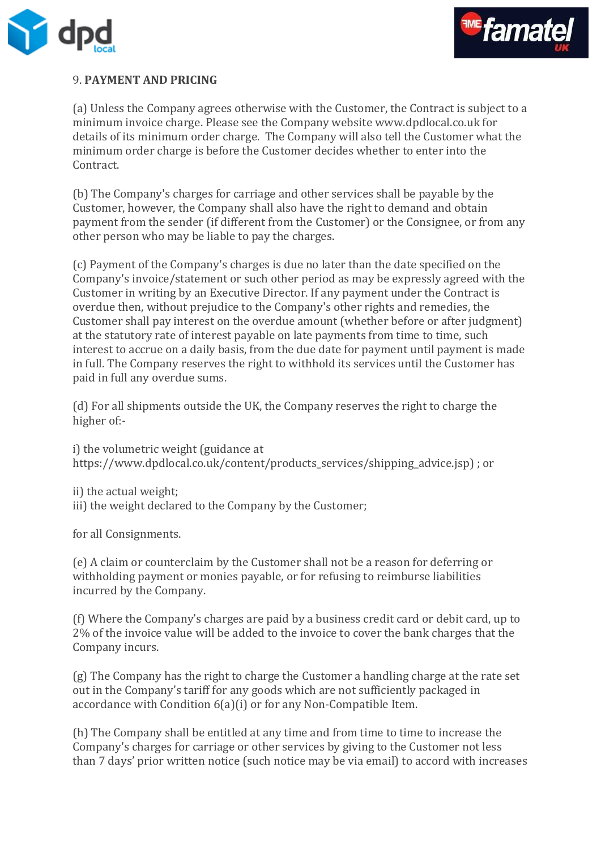



# 9. **PAYMENT AND PRICING**

(a) Unless the Company agrees otherwise with the Customer, the Contract is subject to a minimum invoice charge. Please see the Company website www.dpdlocal.co.uk for details of its minimum order charge. The Company will also tell the Customer what the minimum order charge is before the Customer decides whether to enter into the Contract.

(b) The Company's charges for carriage and other services shall be payable by the Customer, however, the Company shall also have the right to demand and obtain payment from the sender (if different from the Customer) or the Consignee, or from any other person who may be liable to pay the charges.

(c) Payment of the Company's charges is due no later than the date specified on the Company's invoice/statement or such other period as may be expressly agreed with the Customer in writing by an Executive Director. If any payment under the Contract is overdue then, without prejudice to the Company's other rights and remedies, the Customer shall pay interest on the overdue amount (whether before or after judgment) at the statutory rate of interest payable on late payments from time to time, such interest to accrue on a daily basis, from the due date for payment until payment is made in full. The Company reserves the right to withhold its services until the Customer has paid in full any overdue sums.

(d) For all shipments outside the UK, the Company reserves the right to charge the higher of:-

i) the volumetric weight (guidance at https://www.dpdlocal.co.uk/content/products\_services/shipping\_advice.jsp) ; or

ii) the actual weight; iii) the weight declared to the Company by the Customer;

for all Consignments.

(e) A claim or counterclaim by the Customer shall not be a reason for deferring or withholding payment or monies payable, or for refusing to reimburse liabilities incurred by the Company.

(f) Where the Company's charges are paid by a business credit card or debit card, up to 2% of the invoice value will be added to the invoice to cover the bank charges that the Company incurs.

(g) The Company has the right to charge the Customer a handling charge at the rate set out in the Company's tariff for any goods which are not sufficiently packaged in accordance with Condition 6(a)(i) or for any Non-Compatible Item.

(h) The Company shall be entitled at any time and from time to time to increase the Company's charges for carriage or other services by giving to the Customer not less than 7 days' prior written notice (such notice may be via email) to accord with increases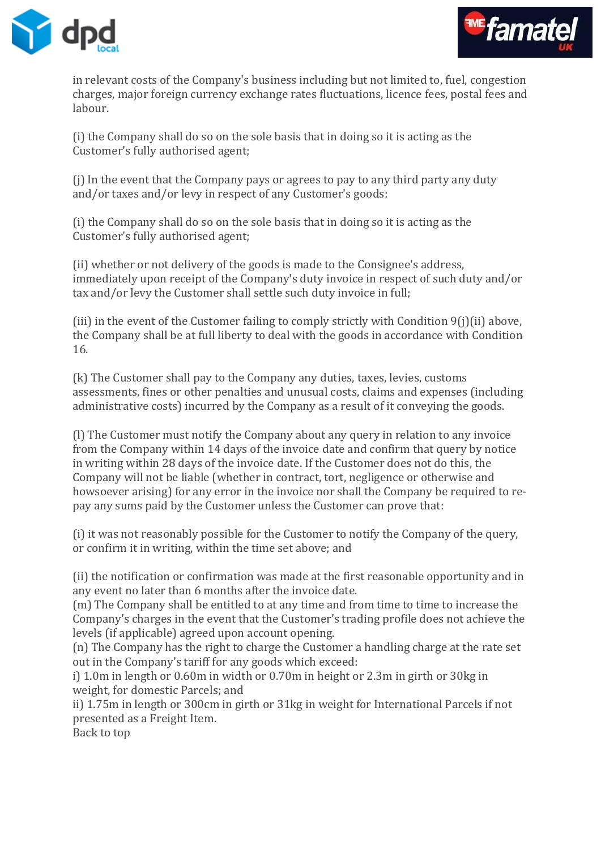



in relevant costs of the Company's business including but not limited to, fuel, congestion charges, major foreign currency exchange rates fluctuations, licence fees, postal fees and labour.

(i) the Company shall do so on the sole basis that in doing so it is acting as the Customer's fully authorised agent;

(j) In the event that the Company pays or agrees to pay to any third party any duty and/or taxes and/or levy in respect of any Customer's goods:

(i) the Company shall do so on the sole basis that in doing so it is acting as the Customer's fully authorised agent;

(ii) whether or not delivery of the goods is made to the Consignee's address, immediately upon receipt of the Company's duty invoice in respect of such duty and/or tax and/or levy the Customer shall settle such duty invoice in full;

(iii) in the event of the Customer failing to comply strictly with Condition 9(j)(ii) above, the Company shall be at full liberty to deal with the goods in accordance with Condition 16.

(k) The Customer shall pay to the Company any duties, taxes, levies, customs assessments, fines or other penalties and unusual costs, claims and expenses (including administrative costs) incurred by the Company as a result of it conveying the goods.

(l) The Customer must notify the Company about any query in relation to any invoice from the Company within 14 days of the invoice date and confirm that query by notice in writing within 28 days of the invoice date. If the Customer does not do this, the Company will not be liable (whether in contract, tort, negligence or otherwise and howsoever arising) for any error in the invoice nor shall the Company be required to repay any sums paid by the Customer unless the Customer can prove that:

(i) it was not reasonably possible for the Customer to notify the Company of the query, or confirm it in writing, within the time set above; and

(ii) the notification or confirmation was made at the first reasonable opportunity and in any event no later than 6 months after the invoice date.

(m) The Company shall be entitled to at any time and from time to time to increase the Company's charges in the event that the Customer's trading profile does not achieve the levels (if applicable) agreed upon account opening.

(n) The Company has the right to charge the Customer a handling charge at the rate set out in the Company's tariff for any goods which exceed:

i) 1.0m in length or 0.60m in width or 0.70m in height or 2.3m in girth or 30kg in weight, for domestic Parcels; and

ii) 1.75m in length or 300cm in girth or 31kg in weight for International Parcels if not presented as a Freight Item.

Back to top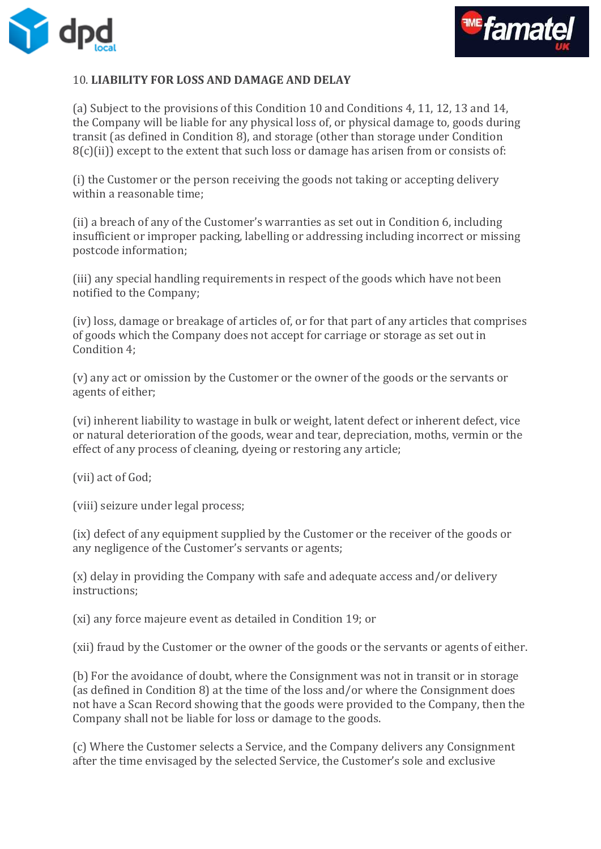



## 10. **LIABILITY FOR LOSS AND DAMAGE AND DELAY**

(a) Subject to the provisions of this Condition 10 and Conditions 4, 11, 12, 13 and 14, the Company will be liable for any physical loss of, or physical damage to, goods during transit (as defined in Condition 8), and storage (other than storage under Condition 8(c)(ii)) except to the extent that such loss or damage has arisen from or consists of:

(i) the Customer or the person receiving the goods not taking or accepting delivery within a reasonable time;

(ii) a breach of any of the Customer's warranties as set out in Condition 6, including insufficient or improper packing, labelling or addressing including incorrect or missing postcode information;

(iii) any special handling requirements in respect of the goods which have not been notified to the Company;

(iv) loss, damage or breakage of articles of, or for that part of any articles that comprises of goods which the Company does not accept for carriage or storage as set out in Condition 4;

(v) any act or omission by the Customer or the owner of the goods or the servants or agents of either;

(vi) inherent liability to wastage in bulk or weight, latent defect or inherent defect, vice or natural deterioration of the goods, wear and tear, depreciation, moths, vermin or the effect of any process of cleaning, dyeing or restoring any article;

(vii) act of God;

(viii) seizure under legal process;

(ix) defect of any equipment supplied by the Customer or the receiver of the goods or any negligence of the Customer's servants or agents;

(x) delay in providing the Company with safe and adequate access and/or delivery instructions;

(xi) any force majeure event as detailed in Condition 19; or

(xii) fraud by the Customer or the owner of the goods or the servants or agents of either.

(b) For the avoidance of doubt, where the Consignment was not in transit or in storage (as defined in Condition 8) at the time of the loss and/or where the Consignment does not have a Scan Record showing that the goods were provided to the Company, then the Company shall not be liable for loss or damage to the goods.

(c) Where the Customer selects a Service, and the Company delivers any Consignment after the time envisaged by the selected Service, the Customer's sole and exclusive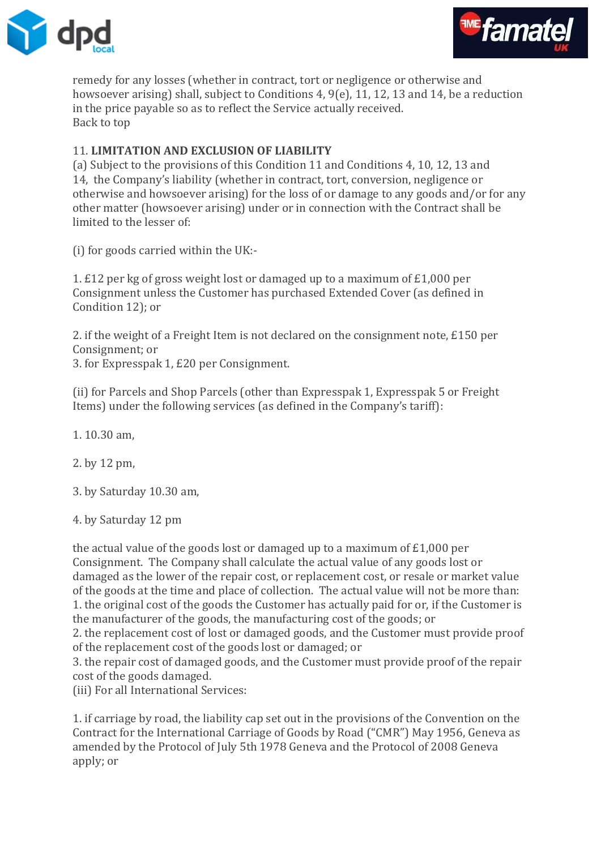



remedy for any losses (whether in contract, tort or negligence or otherwise and howsoever arising) shall, subject to Conditions 4, 9(e), 11, 12, 13 and 14, be a reduction in the price payable so as to reflect the Service actually received. Back to top

## 11. **LIMITATION AND EXCLUSION OF LIABILITY**

(a) Subject to the provisions of this Condition 11 and Conditions 4, 10, 12, 13 and 14, the Company's liability (whether in contract, tort, conversion, negligence or otherwise and howsoever arising) for the loss of or damage to any goods and/or for any other matter (howsoever arising) under or in connection with the Contract shall be limited to the lesser of:

(i) for goods carried within the UK:-

1. £12 per kg of gross weight lost or damaged up to a maximum of £1,000 per Consignment unless the Customer has purchased Extended Cover (as defined in Condition 12); or

2. if the weight of a Freight Item is not declared on the consignment note, £150 per Consignment; or

3. for Expresspak 1, £20 per Consignment.

(ii) for Parcels and Shop Parcels (other than Expresspak 1, Expresspak 5 or Freight Items) under the following services (as defined in the Company's tariff):

1. 10.30 am,

2. by 12 pm,

3. by Saturday 10.30 am,

4. by Saturday 12 pm

the actual value of the goods lost or damaged up to a maximum of £1,000 per Consignment. The Company shall calculate the actual value of any goods lost or damaged as the lower of the repair cost, or replacement cost, or resale or market value of the goods at the time and place of collection. The actual value will not be more than: 1. the original cost of the goods the Customer has actually paid for or, if the Customer is the manufacturer of the goods, the manufacturing cost of the goods; or

2. the replacement cost of lost or damaged goods, and the Customer must provide proof of the replacement cost of the goods lost or damaged; or

3. the repair cost of damaged goods, and the Customer must provide proof of the repair cost of the goods damaged.

(iii) For all International Services:

1. if carriage by road, the liability cap set out in the provisions of the Convention on the Contract for the International Carriage of Goods by Road ("CMR") May 1956, Geneva as amended by the Protocol of July 5th 1978 Geneva and the Protocol of 2008 Geneva apply; or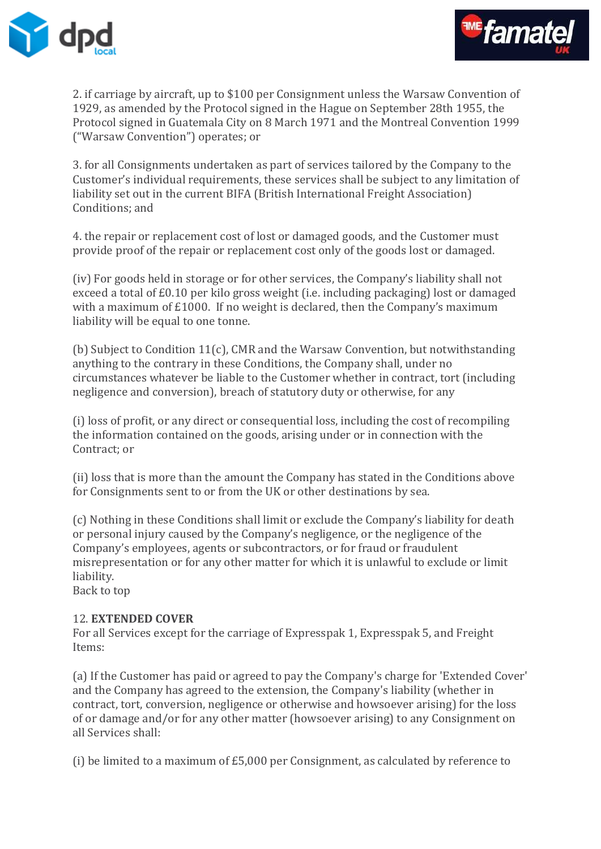



2. if carriage by aircraft, up to \$100 per Consignment unless the Warsaw Convention of 1929, as amended by the Protocol signed in the Hague on September 28th 1955, the Protocol signed in Guatemala City on 8 March 1971 and the Montreal Convention 1999 ("Warsaw Convention") operates; or

3. for all Consignments undertaken as part of services tailored by the Company to the Customer's individual requirements, these services shall be subject to any limitation of liability set out in the current BIFA (British International Freight Association) Conditions; and

4. the repair or replacement cost of lost or damaged goods, and the Customer must provide proof of the repair or replacement cost only of the goods lost or damaged.

(iv) For goods held in storage or for other services, the Company's liability shall not exceed a total of £0.10 per kilo gross weight (i.e. including packaging) lost or damaged with a maximum of £1000. If no weight is declared, then the Company's maximum liability will be equal to one tonne.

(b) Subject to Condition 11(c), CMR and the Warsaw Convention, but notwithstanding anything to the contrary in these Conditions, the Company shall, under no circumstances whatever be liable to the Customer whether in contract, tort (including negligence and conversion), breach of statutory duty or otherwise, for any

(i) loss of profit, or any direct or consequential loss, including the cost of recompiling the information contained on the goods, arising under or in connection with the Contract; or

(ii) loss that is more than the amount the Company has stated in the Conditions above for Consignments sent to or from the UK or other destinations by sea.

(c) Nothing in these Conditions shall limit or exclude the Company's liability for death or personal injury caused by the Company's negligence, or the negligence of the Company's employees, agents or subcontractors, or for fraud or fraudulent misrepresentation or for any other matter for which it is unlawful to exclude or limit liability.

Back to top

#### 12. **EXTENDED COVER**

For all Services except for the carriage of Expresspak 1, Expresspak 5, and Freight Items:

(a) If the Customer has paid or agreed to pay the Company's charge for 'Extended Cover' and the Company has agreed to the extension, the Company's liability (whether in contract, tort, conversion, negligence or otherwise and howsoever arising) for the loss of or damage and/or for any other matter (howsoever arising) to any Consignment on all Services shall:

(i) be limited to a maximum of £5,000 per Consignment, as calculated by reference to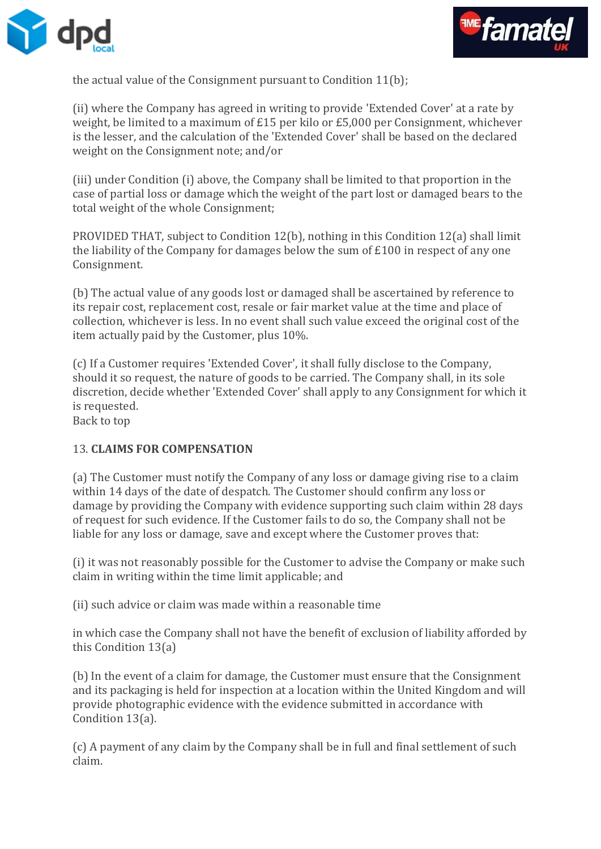



the actual value of the Consignment pursuant to Condition 11(b);

(ii) where the Company has agreed in writing to provide 'Extended Cover' at a rate by weight, be limited to a maximum of £15 per kilo or £5,000 per Consignment, whichever is the lesser, and the calculation of the 'Extended Cover' shall be based on the declared weight on the Consignment note; and/or

(iii) under Condition (i) above, the Company shall be limited to that proportion in the case of partial loss or damage which the weight of the part lost or damaged bears to the total weight of the whole Consignment;

PROVIDED THAT, subject to Condition 12(b), nothing in this Condition 12(a) shall limit the liability of the Company for damages below the sum of £100 in respect of any one Consignment.

(b) The actual value of any goods lost or damaged shall be ascertained by reference to its repair cost, replacement cost, resale or fair market value at the time and place of collection, whichever is less. In no event shall such value exceed the original cost of the item actually paid by the Customer, plus 10%.

(c) If a Customer requires 'Extended Cover', it shall fully disclose to the Company, should it so request, the nature of goods to be carried. The Company shall, in its sole discretion, decide whether 'Extended Cover' shall apply to any Consignment for which it is requested.

Back to top

## 13. **CLAIMS FOR COMPENSATION**

(a) The Customer must notify the Company of any loss or damage giving rise to a claim within 14 days of the date of despatch. The Customer should confirm any loss or damage by providing the Company with evidence supporting such claim within 28 days of request for such evidence. If the Customer fails to do so, the Company shall not be liable for any loss or damage, save and except where the Customer proves that:

(i) it was not reasonably possible for the Customer to advise the Company or make such claim in writing within the time limit applicable; and

(ii) such advice or claim was made within a reasonable time

in which case the Company shall not have the benefit of exclusion of liability afforded by this Condition 13(a)

(b) In the event of a claim for damage, the Customer must ensure that the Consignment and its packaging is held for inspection at a location within the United Kingdom and will provide photographic evidence with the evidence submitted in accordance with Condition 13(a).

(c) A payment of any claim by the Company shall be in full and final settlement of such claim.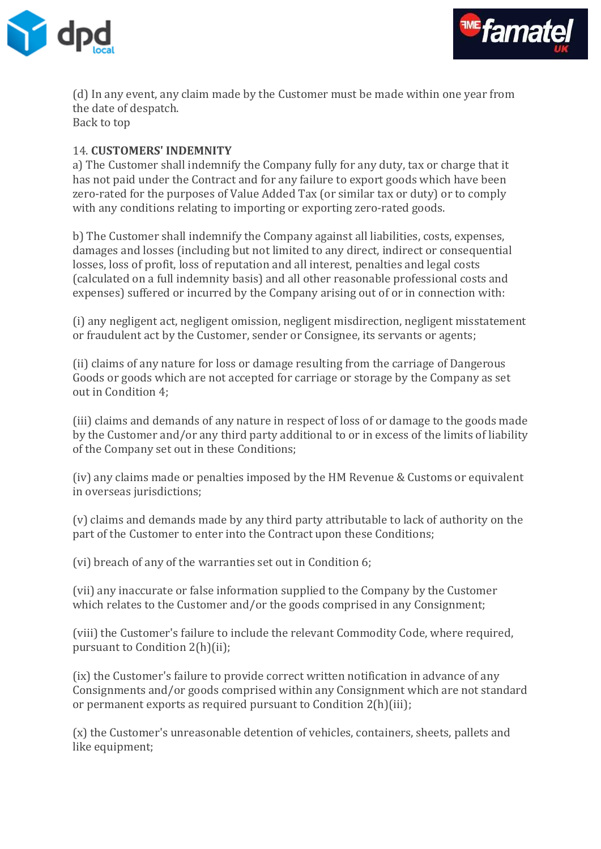



(d) In any event, any claim made by the Customer must be made within one year from the date of despatch. Back to top

### 14. **CUSTOMERS' INDEMNITY**

a) The Customer shall indemnify the Company fully for any duty, tax or charge that it has not paid under the Contract and for any failure to export goods which have been zero-rated for the purposes of Value Added Tax (or similar tax or duty) or to comply with any conditions relating to importing or exporting zero-rated goods.

b) The Customer shall indemnify the Company against all liabilities, costs, expenses, damages and losses (including but not limited to any direct, indirect or consequential losses, loss of profit, loss of reputation and all interest, penalties and legal costs (calculated on a full indemnity basis) and all other reasonable professional costs and expenses) suffered or incurred by the Company arising out of or in connection with:

(i) any negligent act, negligent omission, negligent misdirection, negligent misstatement or fraudulent act by the Customer, sender or Consignee, its servants or agents;

(ii) claims of any nature for loss or damage resulting from the carriage of Dangerous Goods or goods which are not accepted for carriage or storage by the Company as set out in Condition 4;

(iii) claims and demands of any nature in respect of loss of or damage to the goods made by the Customer and/or any third party additional to or in excess of the limits of liability of the Company set out in these Conditions;

(iv) any claims made or penalties imposed by the HM Revenue & Customs or equivalent in overseas jurisdictions;

(v) claims and demands made by any third party attributable to lack of authority on the part of the Customer to enter into the Contract upon these Conditions;

(vi) breach of any of the warranties set out in Condition 6;

(vii) any inaccurate or false information supplied to the Company by the Customer which relates to the Customer and/or the goods comprised in any Consignment;

(viii) the Customer's failure to include the relevant Commodity Code, where required, pursuant to Condition 2(h)(ii);

(ix) the Customer's failure to provide correct written notification in advance of any Consignments and/or goods comprised within any Consignment which are not standard or permanent exports as required pursuant to Condition 2(h)(iii);

(x) the Customer's unreasonable detention of vehicles, containers, sheets, pallets and like equipment;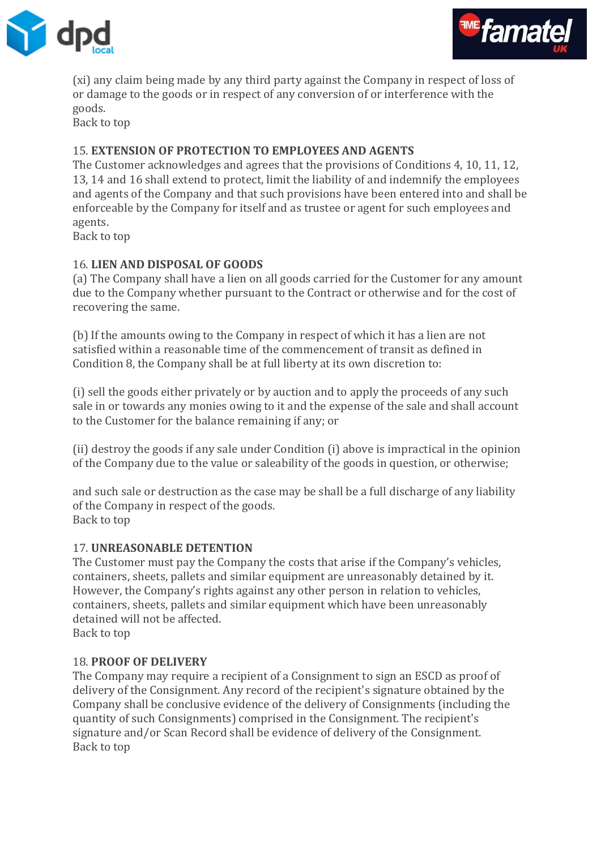



(xi) any claim being made by any third party against the Company in respect of loss of or damage to the goods or in respect of any conversion of or interference with the goods.

Back to top

## 15. **EXTENSION OF PROTECTION TO EMPLOYEES AND AGENTS**

The Customer acknowledges and agrees that the provisions of Conditions 4, 10, 11, 12, 13, 14 and 16 shall extend to protect, limit the liability of and indemnify the employees and agents of the Company and that such provisions have been entered into and shall be enforceable by the Company for itself and as trustee or agent for such employees and agents.

Back to top

## 16. **LIEN AND DISPOSAL OF GOODS**

(a) The Company shall have a lien on all goods carried for the Customer for any amount due to the Company whether pursuant to the Contract or otherwise and for the cost of recovering the same.

(b) If the amounts owing to the Company in respect of which it has a lien are not satisfied within a reasonable time of the commencement of transit as defined in Condition 8, the Company shall be at full liberty at its own discretion to:

(i) sell the goods either privately or by auction and to apply the proceeds of any such sale in or towards any monies owing to it and the expense of the sale and shall account to the Customer for the balance remaining if any; or

(ii) destroy the goods if any sale under Condition (i) above is impractical in the opinion of the Company due to the value or saleability of the goods in question, or otherwise;

and such sale or destruction as the case may be shall be a full discharge of any liability of the Company in respect of the goods. Back to top

#### 17. **UNREASONABLE DETENTION**

The Customer must pay the Company the costs that arise if the Company's vehicles, containers, sheets, pallets and similar equipment are unreasonably detained by it. However, the Company's rights against any other person in relation to vehicles, containers, sheets, pallets and similar equipment which have been unreasonably detained will not be affected.

Back to top

#### 18. **PROOF OF DELIVERY**

The Company may require a recipient of a Consignment to sign an ESCD as proof of delivery of the Consignment. Any record of the recipient's signature obtained by the Company shall be conclusive evidence of the delivery of Consignments (including the quantity of such Consignments) comprised in the Consignment. The recipient's signature and/or Scan Record shall be evidence of delivery of the Consignment. Back to top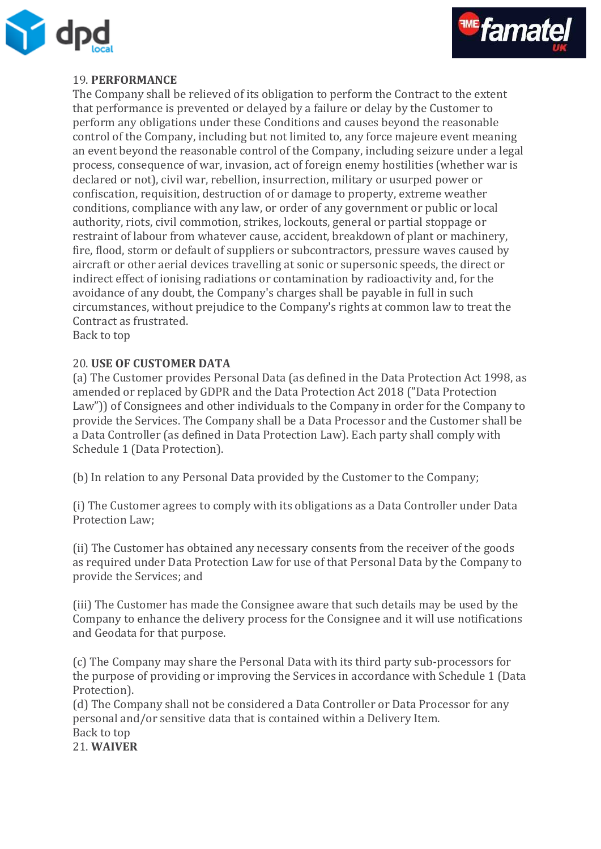



## 19. **PERFORMANCE**

The Company shall be relieved of its obligation to perform the Contract to the extent that performance is prevented or delayed by a failure or delay by the Customer to perform any obligations under these Conditions and causes beyond the reasonable control of the Company, including but not limited to, any force majeure event meaning an event beyond the reasonable control of the Company, including seizure under a legal process, consequence of war, invasion, act of foreign enemy hostilities (whether war is declared or not), civil war, rebellion, insurrection, military or usurped power or confiscation, requisition, destruction of or damage to property, extreme weather conditions, compliance with any law, or order of any government or public or local authority, riots, civil commotion, strikes, lockouts, general or partial stoppage or restraint of labour from whatever cause, accident, breakdown of plant or machinery, fire, flood, storm or default of suppliers or subcontractors, pressure waves caused by aircraft or other aerial devices travelling at sonic or supersonic speeds, the direct or indirect effect of ionising radiations or contamination by radioactivity and, for the avoidance of any doubt, the Company's charges shall be payable in full in such circumstances, without prejudice to the Company's rights at common law to treat the Contract as frustrated.

Back to top

#### 20. **USE OF CUSTOMER DATA**

(a) The Customer provides Personal Data (as defined in the Data Protection Act 1998, as amended or replaced by GDPR and the Data Protection Act 2018 ("Data Protection Law")) of Consignees and other individuals to the Company in order for the Company to provide the Services. The Company shall be a Data Processor and the Customer shall be a Data Controller (as defined in Data Protection Law). Each party shall comply with Schedule 1 (Data Protection).

(b) In relation to any Personal Data provided by the Customer to the Company;

(i) The Customer agrees to comply with its obligations as a Data Controller under Data Protection Law;

(ii) The Customer has obtained any necessary consents from the receiver of the goods as required under Data Protection Law for use of that Personal Data by the Company to provide the Services; and

(iii) The Customer has made the Consignee aware that such details may be used by the Company to enhance the delivery process for the Consignee and it will use notifications and Geodata for that purpose.

(c) The Company may share the Personal Data with its third party sub-processors for the purpose of providing or improving the Services in accordance with Schedule 1 (Data Protection).

(d) The Company shall not be considered a Data Controller or Data Processor for any personal and/or sensitive data that is contained within a Delivery Item. Back to top 21. **WAIVER**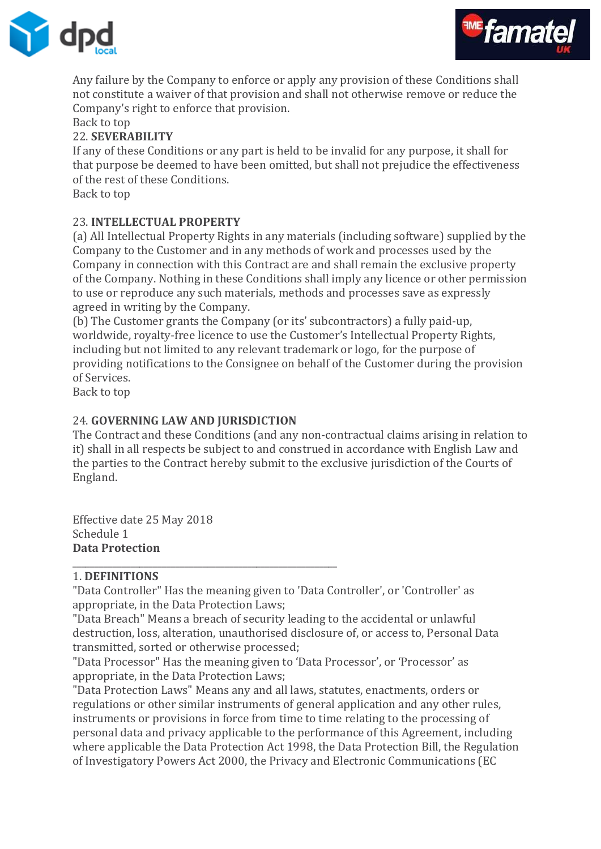



Any failure by the Company to enforce or apply any provision of these Conditions shall not constitute a waiver of that provision and shall not otherwise remove or reduce the Company's right to enforce that provision.

# Back to top

#### 22. **SEVERABILITY**

If any of these Conditions or any part is held to be invalid for any purpose, it shall for that purpose be deemed to have been omitted, but shall not prejudice the effectiveness of the rest of these Conditions.

Back to top

#### 23. **INTELLECTUAL PROPERTY**

(a) All Intellectual Property Rights in any materials (including software) supplied by the Company to the Customer and in any methods of work and processes used by the Company in connection with this Contract are and shall remain the exclusive property of the Company. Nothing in these Conditions shall imply any licence or other permission to use or reproduce any such materials, methods and processes save as expressly agreed in writing by the Company.

(b) The Customer grants the Company (or its' subcontractors) a fully paid-up, worldwide, royalty-free licence to use the Customer's Intellectual Property Rights, including but not limited to any relevant trademark or logo, for the purpose of providing notifications to the Consignee on behalf of the Customer during the provision of Services.

Back to top

## 24. **GOVERNING LAW AND JURISDICTION**

\_\_\_\_\_\_\_\_\_\_\_\_\_\_\_\_\_\_\_\_\_\_\_\_\_\_\_\_\_\_\_\_\_\_\_\_\_\_\_\_\_\_\_\_\_\_\_\_\_\_\_\_\_\_\_\_\_\_\_

The Contract and these Conditions (and any non-contractual claims arising in relation to it) shall in all respects be subject to and construed in accordance with English Law and the parties to the Contract hereby submit to the exclusive jurisdiction of the Courts of England.

Effective date 25 May 2018 Schedule 1 **Data Protection**

#### 1. **DEFINITIONS**

"Data Controller" Has the meaning given to 'Data Controller', or 'Controller' as appropriate, in the Data Protection Laws;

"Data Breach" Means a breach of security leading to the accidental or unlawful destruction, loss, alteration, unauthorised disclosure of, or access to, Personal Data transmitted, sorted or otherwise processed;

"Data Processor" Has the meaning given to 'Data Processor', or 'Processor' as appropriate, in the Data Protection Laws;

"Data Protection Laws" Means any and all laws, statutes, enactments, orders or regulations or other similar instruments of general application and any other rules, instruments or provisions in force from time to time relating to the processing of personal data and privacy applicable to the performance of this Agreement, including where applicable the Data Protection Act 1998, the Data Protection Bill, the Regulation of Investigatory Powers Act 2000, the Privacy and Electronic Communications (EC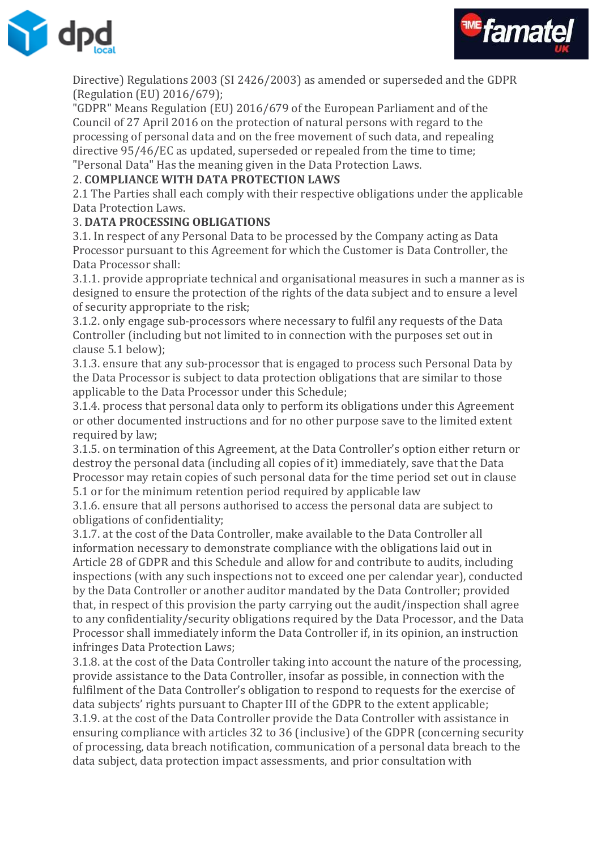



Directive) Regulations 2003 (SI 2426/2003) as amended or superseded and the GDPR (Regulation (EU) 2016/679);

"GDPR" Means Regulation (EU) 2016/679 of the European Parliament and of the Council of 27 April 2016 on the protection of natural persons with regard to the processing of personal data and on the free movement of such data, and repealing directive 95/46/EC as updated, superseded or repealed from the time to time; "Personal Data" Has the meaning given in the Data Protection Laws.

## 2. **COMPLIANCE WITH DATA PROTECTION LAWS**

2.1 The Parties shall each comply with their respective obligations under the applicable Data Protection Laws.

## 3. **DATA PROCESSING OBLIGATIONS**

3.1. In respect of any Personal Data to be processed by the Company acting as Data Processor pursuant to this Agreement for which the Customer is Data Controller, the Data Processor shall:

3.1.1. provide appropriate technical and organisational measures in such a manner as is designed to ensure the protection of the rights of the data subject and to ensure a level of security appropriate to the risk;

3.1.2. only engage sub-processors where necessary to fulfil any requests of the Data Controller (including but not limited to in connection with the purposes set out in clause 5.1 below);

3.1.3. ensure that any sub-processor that is engaged to process such Personal Data by the Data Processor is subject to data protection obligations that are similar to those applicable to the Data Processor under this Schedule;

3.1.4. process that personal data only to perform its obligations under this Agreement or other documented instructions and for no other purpose save to the limited extent required by law;

3.1.5. on termination of this Agreement, at the Data Controller's option either return or destroy the personal data (including all copies of it) immediately, save that the Data Processor may retain copies of such personal data for the time period set out in clause 5.1 or for the minimum retention period required by applicable law

3.1.6. ensure that all persons authorised to access the personal data are subject to obligations of confidentiality;

3.1.7. at the cost of the Data Controller, make available to the Data Controller all information necessary to demonstrate compliance with the obligations laid out in Article 28 of GDPR and this Schedule and allow for and contribute to audits, including inspections (with any such inspections not to exceed one per calendar year), conducted by the Data Controller or another auditor mandated by the Data Controller; provided that, in respect of this provision the party carrying out the audit/inspection shall agree to any confidentiality/security obligations required by the Data Processor, and the Data Processor shall immediately inform the Data Controller if, in its opinion, an instruction infringes Data Protection Laws;

3.1.8. at the cost of the Data Controller taking into account the nature of the processing, provide assistance to the Data Controller, insofar as possible, in connection with the fulfilment of the Data Controller's obligation to respond to requests for the exercise of data subjects' rights pursuant to Chapter III of the GDPR to the extent applicable; 3.1.9. at the cost of the Data Controller provide the Data Controller with assistance in ensuring compliance with articles 32 to 36 (inclusive) of the GDPR (concerning security of processing, data breach notification, communication of a personal data breach to the data subject, data protection impact assessments, and prior consultation with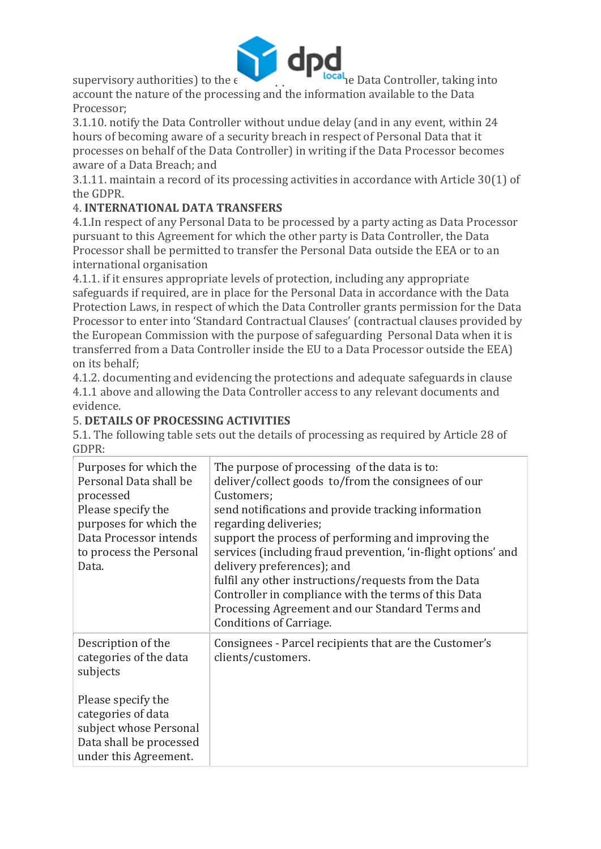

supervisory authorities) to the  $\epsilon$  **Extending and Data Controller, taking into** account the nature of the processing and the information available to the Data Processor;

3.1.10. notify the Data Controller without undue delay (and in any event, within 24 hours of becoming aware of a security breach in respect of Personal Data that it processes on behalf of the Data Controller) in writing if the Data Processor becomes aware of a Data Breach; and

3.1.11. maintain a record of its processing activities in accordance with Article 30(1) of the GDPR.

# 4. **INTERNATIONAL DATA TRANSFERS**

4.1.In respect of any Personal Data to be processed by a party acting as Data Processor pursuant to this Agreement for which the other party is Data Controller, the Data Processor shall be permitted to transfer the Personal Data outside the EEA or to an international organisation

4.1.1. if it ensures appropriate levels of protection, including any appropriate safeguards if required, are in place for the Personal Data in accordance with the Data Protection Laws, in respect of which the Data Controller grants permission for the Data Processor to enter into 'Standard Contractual Clauses' (contractual clauses provided by the European Commission with the purpose of safeguarding Personal Data when it is transferred from a Data Controller inside the EU to a Data Processor outside the EEA) on its behalf;

4.1.2. documenting and evidencing the protections and adequate safeguards in clause 4.1.1 above and allowing the Data Controller access to any relevant documents and evidence.

# 5. **DETAILS OF PROCESSING ACTIVITIES**

5.1. The following table sets out the details of processing as required by Article 28 of GDPR:

| Purposes for which the<br>Personal Data shall be<br>processed<br>Please specify the<br>purposes for which the<br>Data Processor intends<br>to process the Personal<br>Data. | The purpose of processing of the data is to:<br>deliver/collect goods to/from the consignees of our<br>Customers;<br>send notifications and provide tracking information<br>regarding deliveries;<br>support the process of performing and improving the<br>services (including fraud prevention, 'in-flight options' and<br>delivery preferences); and<br>fulfil any other instructions/requests from the Data<br>Controller in compliance with the terms of this Data<br>Processing Agreement and our Standard Terms and<br><b>Conditions of Carriage.</b> |
|-----------------------------------------------------------------------------------------------------------------------------------------------------------------------------|--------------------------------------------------------------------------------------------------------------------------------------------------------------------------------------------------------------------------------------------------------------------------------------------------------------------------------------------------------------------------------------------------------------------------------------------------------------------------------------------------------------------------------------------------------------|
| Description of the<br>categories of the data<br>subjects                                                                                                                    | Consignees - Parcel recipients that are the Customer's<br>clients/customers.                                                                                                                                                                                                                                                                                                                                                                                                                                                                                 |
| Please specify the<br>categories of data<br>subject whose Personal<br>Data shall be processed<br>under this Agreement.                                                      |                                                                                                                                                                                                                                                                                                                                                                                                                                                                                                                                                              |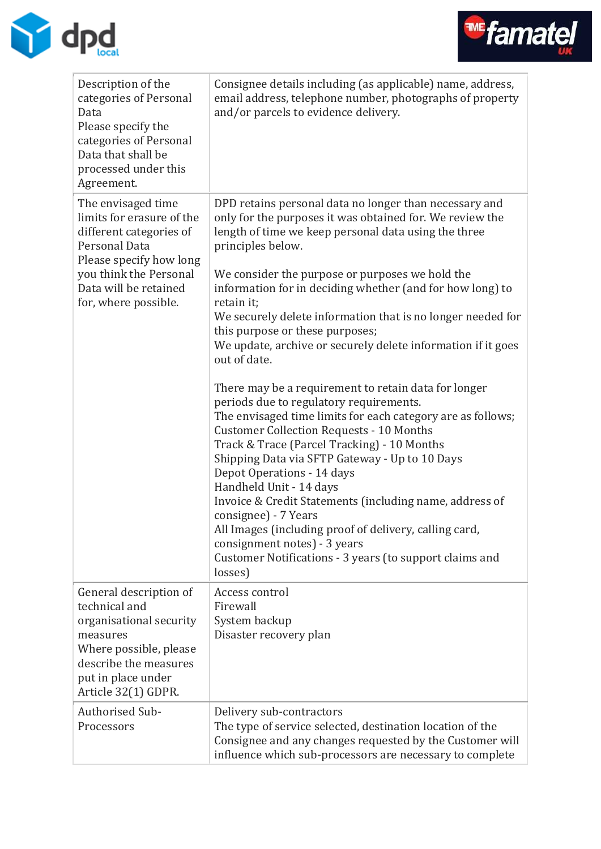



| Description of the<br>categories of Personal<br>Data<br>Please specify the<br>categories of Personal<br>Data that shall be<br>processed under this<br>Agreement.                                  | Consignee details including (as applicable) name, address,<br>email address, telephone number, photographs of property<br>and/or parcels to evidence delivery.                                                                                                                                                                                                                                                                                                                                                                                                                                                                                                                                                                                                                                                                                                                                                                                                                                                                                                                                                                                    |
|---------------------------------------------------------------------------------------------------------------------------------------------------------------------------------------------------|---------------------------------------------------------------------------------------------------------------------------------------------------------------------------------------------------------------------------------------------------------------------------------------------------------------------------------------------------------------------------------------------------------------------------------------------------------------------------------------------------------------------------------------------------------------------------------------------------------------------------------------------------------------------------------------------------------------------------------------------------------------------------------------------------------------------------------------------------------------------------------------------------------------------------------------------------------------------------------------------------------------------------------------------------------------------------------------------------------------------------------------------------|
| The envisaged time<br>limits for erasure of the<br>different categories of<br>Personal Data<br>Please specify how long<br>you think the Personal<br>Data will be retained<br>for, where possible. | DPD retains personal data no longer than necessary and<br>only for the purposes it was obtained for. We review the<br>length of time we keep personal data using the three<br>principles below.<br>We consider the purpose or purposes we hold the<br>information for in deciding whether (and for how long) to<br>retain it;<br>We securely delete information that is no longer needed for<br>this purpose or these purposes;<br>We update, archive or securely delete information if it goes<br>out of date.<br>There may be a requirement to retain data for longer<br>periods due to regulatory requirements.<br>The envisaged time limits for each category are as follows;<br><b>Customer Collection Requests - 10 Months</b><br>Track & Trace (Parcel Tracking) - 10 Months<br>Shipping Data via SFTP Gateway - Up to 10 Days<br>Depot Operations - 14 days<br>Handheld Unit - 14 days<br>Invoice & Credit Statements (including name, address of<br>consignee) - 7 Years<br>All Images (including proof of delivery, calling card,<br>consignment notes) - 3 years<br>Customer Notifications - 3 years (to support claims and<br>losses) |
| General description of<br>technical and<br>organisational security<br>measures<br>Where possible, please<br>describe the measures<br>put in place under<br>Article 32(1) GDPR.                    | Access control<br>Firewall<br>System backup<br>Disaster recovery plan                                                                                                                                                                                                                                                                                                                                                                                                                                                                                                                                                                                                                                                                                                                                                                                                                                                                                                                                                                                                                                                                             |
| <b>Authorised Sub-</b><br>Processors                                                                                                                                                              | Delivery sub-contractors<br>The type of service selected, destination location of the<br>Consignee and any changes requested by the Customer will<br>influence which sub-processors are necessary to complete                                                                                                                                                                                                                                                                                                                                                                                                                                                                                                                                                                                                                                                                                                                                                                                                                                                                                                                                     |